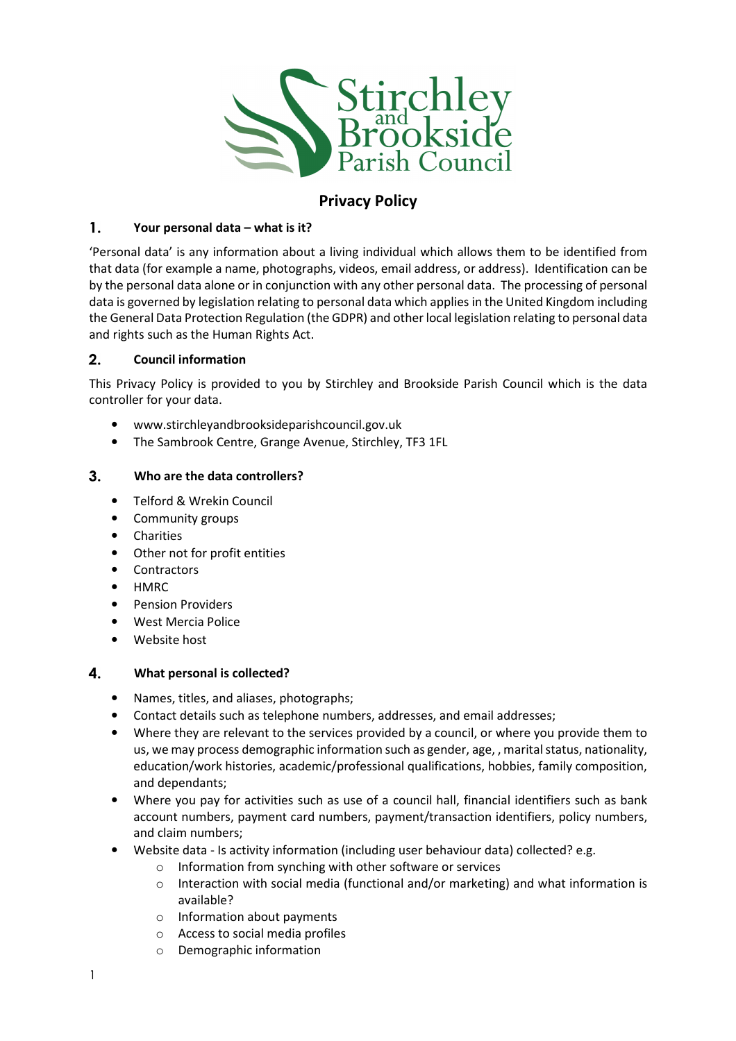

# Privacy Policy

## $\mathbf{1}$ . Your personal data – what is it?

'Personal data' is any information about a living individual which allows them to be identified from that data (for example a name, photographs, videos, email address, or address). Identification can be by the personal data alone or in conjunction with any other personal data. The processing of personal data is governed by legislation relating to personal data which applies in the United Kingdom including the General Data Protection Regulation (the GDPR) and other local legislation relating to personal data and rights such as the Human Rights Act.

# $2.$ Council information

This Privacy Policy is provided to you by Stirchley and Brookside Parish Council which is the data controller for your data.

- www.stirchleyandbrooksideparishcouncil.gov.uk
- The Sambrook Centre, Grange Avenue, Stirchley, TF3 1FL

# $3<sub>1</sub>$ Who are the data controllers?

- Telford & Wrekin Council
- Community groups
- Charities
- Other not for profit entities
- Contractors
- HMRC
- Pension Providers
- West Mercia Police
- Website host

#### 4. What personal is collected?

- Names, titles, and aliases, photographs;
- Contact details such as telephone numbers, addresses, and email addresses;
- Where they are relevant to the services provided by a council, or where you provide them to us, we may process demographic information such as gender, age, , marital status, nationality, education/work histories, academic/professional qualifications, hobbies, family composition, and dependants;
- Where you pay for activities such as use of a council hall, financial identifiers such as bank account numbers, payment card numbers, payment/transaction identifiers, policy numbers, and claim numbers;
- Website data Is activity information (including user behaviour data) collected? e.g.
	- o Information from synching with other software or services
	- $\circ$  Interaction with social media (functional and/or marketing) and what information is available?
	- o Information about payments
	- o Access to social media profiles
	- o Demographic information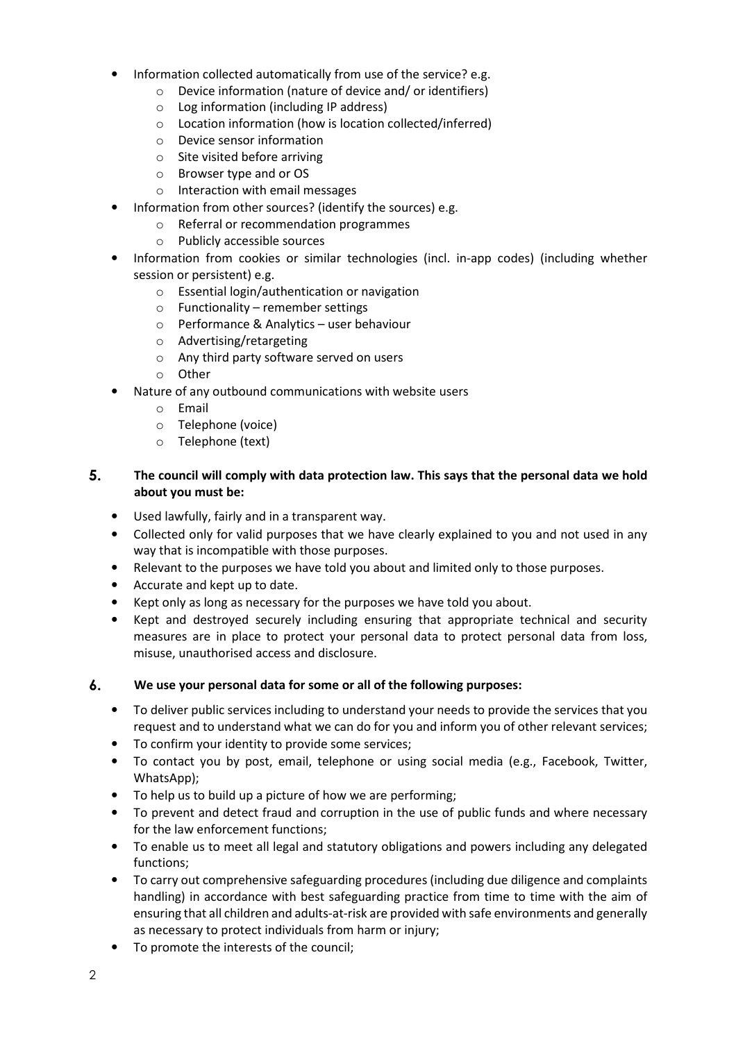- Information collected automatically from use of the service? e.g.
	- o Device information (nature of device and/ or identifiers)
	- o Log information (including IP address)
	- o Location information (how is location collected/inferred)
	- o Device sensor information
	- o Site visited before arriving
	- o Browser type and or OS
	- o Interaction with email messages
- Information from other sources? (identify the sources) e.g.
	- o Referral or recommendation programmes
	- o Publicly accessible sources
- Information from cookies or similar technologies (incl. in-app codes) (including whether session or persistent) e.g.
	- o Essential login/authentication or navigation
	- $\circ$  Functionality remember settings
	- o Performance & Analytics user behaviour
	- o Advertising/retargeting
	- o Any third party software served on users
	- o Other
- Nature of any outbound communications with website users
	- o Email
	- o Telephone (voice)
	- o Telephone (text)

# $5.$ The council will comply with data protection law. This says that the personal data we hold about you must be:

- Used lawfully, fairly and in a transparent way.
- Collected only for valid purposes that we have clearly explained to you and not used in any way that is incompatible with those purposes.
- Relevant to the purposes we have told you about and limited only to those purposes.
- Accurate and kept up to date.
- Kept only as long as necessary for the purposes we have told you about.
- Kept and destroyed securely including ensuring that appropriate technical and security measures are in place to protect your personal data to protect personal data from loss, misuse, unauthorised access and disclosure.

#### $\mathbf{6}$ . We use your personal data for some or all of the following purposes:

- To deliver public services including to understand your needs to provide the services that you request and to understand what we can do for you and inform you of other relevant services;
- To confirm your identity to provide some services;
- To contact you by post, email, telephone or using social media (e.g., Facebook, Twitter, WhatsApp);
- To help us to build up a picture of how we are performing;
- To prevent and detect fraud and corruption in the use of public funds and where necessary for the law enforcement functions;
- To enable us to meet all legal and statutory obligations and powers including any delegated functions;
- To carry out comprehensive safeguarding procedures (including due diligence and complaints handling) in accordance with best safeguarding practice from time to time with the aim of ensuring that all children and adults-at-risk are provided with safe environments and generally as necessary to protect individuals from harm or injury;
- To promote the interests of the council;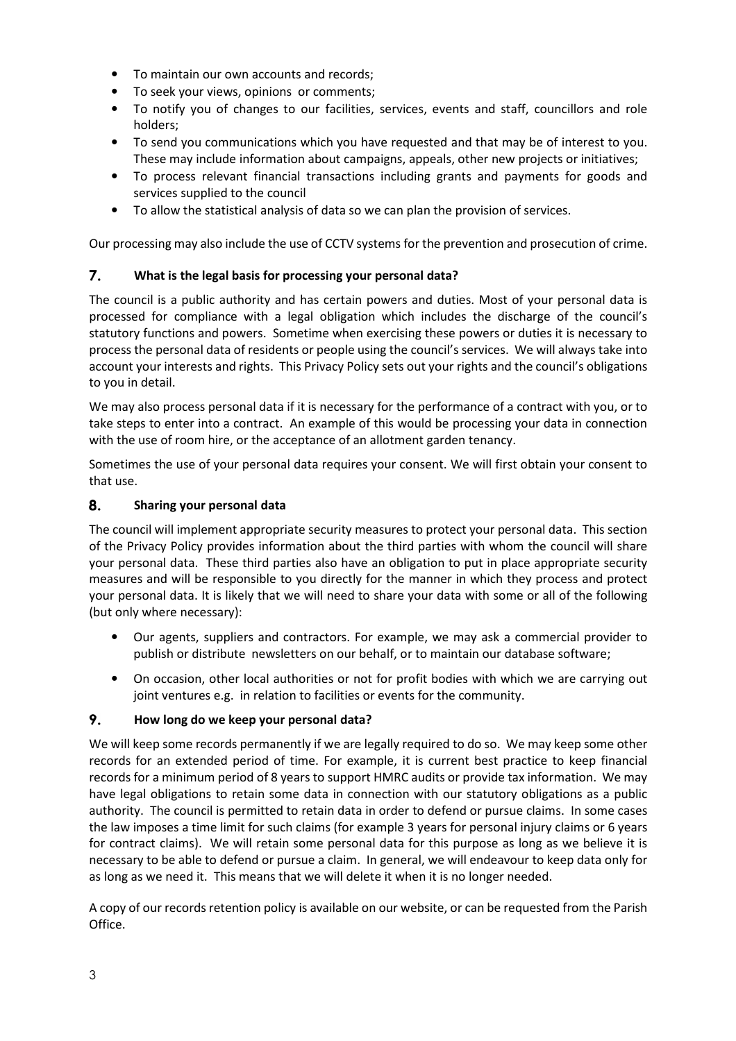- To maintain our own accounts and records;
- To seek your views, opinions or comments;
- To notify you of changes to our facilities, services, events and staff, councillors and role holders;
- To send you communications which you have requested and that may be of interest to you. These may include information about campaigns, appeals, other new projects or initiatives;
- To process relevant financial transactions including grants and payments for goods and services supplied to the council
- To allow the statistical analysis of data so we can plan the provision of services.

Our processing may also include the use of CCTV systems for the prevention and prosecution of crime.

# 7. What is the legal basis for processing your personal data?

The council is a public authority and has certain powers and duties. Most of your personal data is processed for compliance with a legal obligation which includes the discharge of the council's statutory functions and powers. Sometime when exercising these powers or duties it is necessary to process the personal data of residents or people using the council's services. We will always take into account your interests and rights. This Privacy Policy sets out your rights and the council's obligations to you in detail.

We may also process personal data if it is necessary for the performance of a contract with you, or to take steps to enter into a contract. An example of this would be processing your data in connection with the use of room hire, or the acceptance of an allotment garden tenancy.

Sometimes the use of your personal data requires your consent. We will first obtain your consent to that use.

#### 8. Sharing your personal data

The council will implement appropriate security measures to protect your personal data. This section of the Privacy Policy provides information about the third parties with whom the council will share your personal data. These third parties also have an obligation to put in place appropriate security measures and will be responsible to you directly for the manner in which they process and protect your personal data. It is likely that we will need to share your data with some or all of the following (but only where necessary):

- Our agents, suppliers and contractors. For example, we may ask a commercial provider to publish or distribute newsletters on our behalf, or to maintain our database software;
- On occasion, other local authorities or not for profit bodies with which we are carrying out joint ventures e.g. in relation to facilities or events for the community.

#### 9. How long do we keep your personal data?

We will keep some records permanently if we are legally required to do so. We may keep some other records for an extended period of time. For example, it is current best practice to keep financial records for a minimum period of 8 years to support HMRC audits or provide tax information. We may have legal obligations to retain some data in connection with our statutory obligations as a public authority. The council is permitted to retain data in order to defend or pursue claims. In some cases the law imposes a time limit for such claims (for example 3 years for personal injury claims or 6 years for contract claims). We will retain some personal data for this purpose as long as we believe it is necessary to be able to defend or pursue a claim. In general, we will endeavour to keep data only for as long as we need it. This means that we will delete it when it is no longer needed.

A copy of our records retention policy is available on our website, or can be requested from the Parish Office.